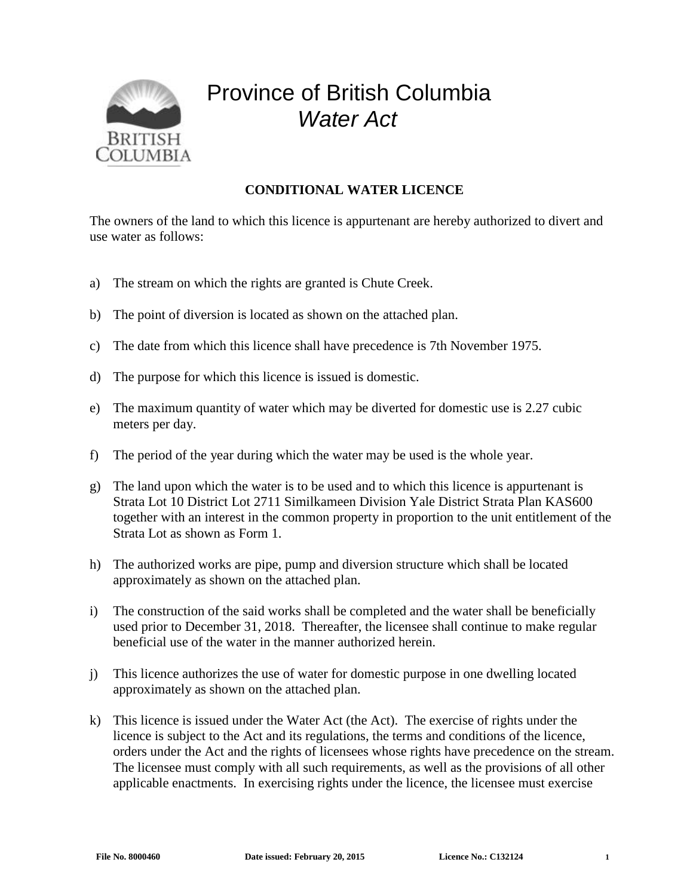

## Province of British Columbia *Water Act*

## **CONDITIONAL WATER LICENCE**

The owners of the land to which this licence is appurtenant are hereby authorized to divert and use water as follows:

- a) The stream on which the rights are granted is Chute Creek.
- b) The point of diversion is located as shown on the attached plan.
- c) The date from which this licence shall have precedence is 7th November 1975.
- d) The purpose for which this licence is issued is domestic.
- e) The maximum quantity of water which may be diverted for domestic use is 2.27 cubic meters per day.
- f) The period of the year during which the water may be used is the whole year.
- g) The land upon which the water is to be used and to which this licence is appurtenant is Strata Lot 10 District Lot 2711 Similkameen Division Yale District Strata Plan KAS600 together with an interest in the common property in proportion to the unit entitlement of the Strata Lot as shown as Form 1.
- h) The authorized works are pipe, pump and diversion structure which shall be located approximately as shown on the attached plan.
- i) The construction of the said works shall be completed and the water shall be beneficially used prior to December 31, 2018. Thereafter, the licensee shall continue to make regular beneficial use of the water in the manner authorized herein.
- j) This licence authorizes the use of water for domestic purpose in one dwelling located approximately as shown on the attached plan.
- k) This licence is issued under the Water Act (the Act). The exercise of rights under the licence is subject to the Act and its regulations, the terms and conditions of the licence, orders under the Act and the rights of licensees whose rights have precedence on the stream. The licensee must comply with all such requirements, as well as the provisions of all other applicable enactments. In exercising rights under the licence, the licensee must exercise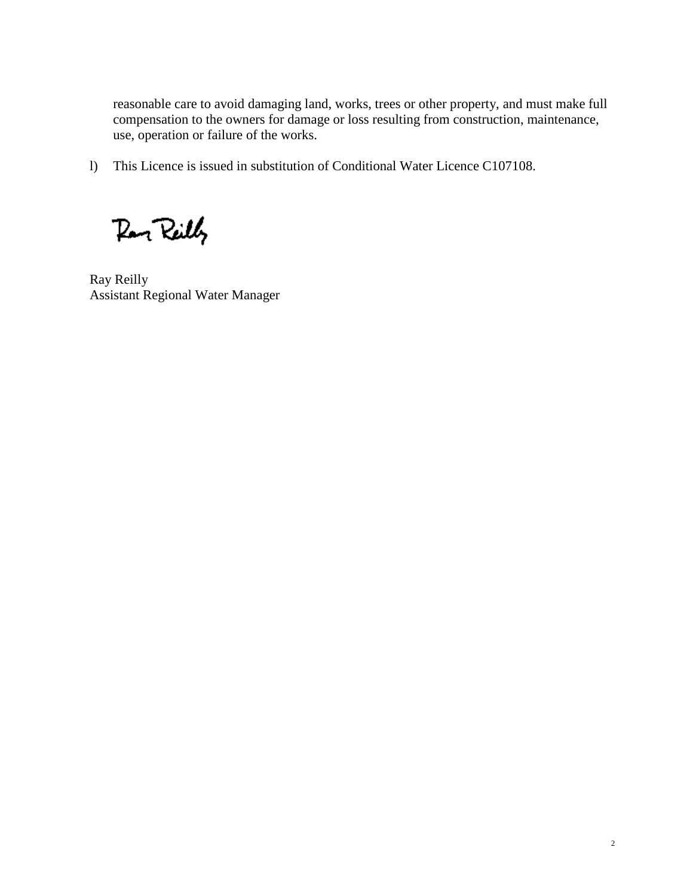reasonable care to avoid damaging land, works, trees or other property, and must make full compensation to the owners for damage or loss resulting from construction, maintenance, use, operation or failure of the works.

l) This Licence is issued in substitution of Conditional Water Licence C107108.

Par Reilly

Ray Reilly Assistant Regional Water Manager